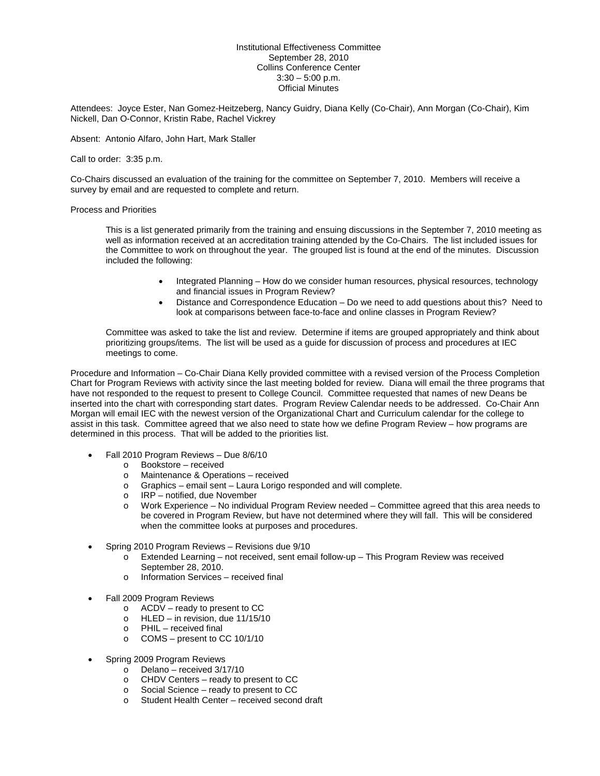## Institutional Effectiveness Committee September 28, 2010 Collins Conference Center  $3:30 - 5:00$  p.m. Official Minutes

Attendees: Joyce Ester, Nan Gomez-Heitzeberg, Nancy Guidry, Diana Kelly (Co-Chair), Ann Morgan (Co-Chair), Kim Nickell, Dan O-Connor, Kristin Rabe, Rachel Vickrey

Absent: Antonio Alfaro, John Hart, Mark Staller

Call to order: 3:35 p.m.

Co-Chairs discussed an evaluation of the training for the committee on September 7, 2010. Members will receive a survey by email and are requested to complete and return.

## Process and Priorities

This is a list generated primarily from the training and ensuing discussions in the September 7, 2010 meeting as well as information received at an accreditation training attended by the Co-Chairs. The list included issues for the Committee to work on throughout the year. The grouped list is found at the end of the minutes. Discussion included the following:

- Integrated Planning How do we consider human resources, physical resources, technology and financial issues in Program Review?
- Distance and Correspondence Education Do we need to add questions about this? Need to look at comparisons between face-to-face and online classes in Program Review?

Committee was asked to take the list and review. Determine if items are grouped appropriately and think about prioritizing groups/items. The list will be used as a guide for discussion of process and procedures at IEC meetings to come.

Procedure and Information – Co-Chair Diana Kelly provided committee with a revised version of the Process Completion Chart for Program Reviews with activity since the last meeting bolded for review. Diana will email the three programs that have not responded to the request to present to College Council. Committee requested that names of new Deans be inserted into the chart with corresponding start dates. Program Review Calendar needs to be addressed. Co-Chair Ann Morgan will email IEC with the newest version of the Organizational Chart and Curriculum calendar for the college to assist in this task. Committee agreed that we also need to state how we define Program Review – how programs are determined in this process. That will be added to the priorities list.

- Fall 2010 Program Reviews Due 8/6/10
	- o Bookstore received
	- o Maintenance & Operations received
	- o Graphics email sent Laura Lorigo responded and will complete.
	- o IRP notified, due November<br>
	o Work Experience No individu
	- Work Experience No individual Program Review needed Committee agreed that this area needs to be covered in Program Review, but have not determined where they will fall. This will be considered when the committee looks at purposes and procedures.
- Spring 2010 Program Reviews Revisions due 9/10
	- o Extended Learning not received, sent email follow-up This Program Review was received September 28, 2010.
	- o Information Services received final
- Fall 2009 Program Reviews
	- $\circ$  ACDV ready to present to CC
	- o HLED in revision, due 11/15/10
	- o PHIL received final
	- o COMS present to CC 10/1/10
- Spring 2009 Program Reviews
	- o Delano received  $3/17/10$ <br>o CHDV Centers ready to r
	- o CHDV Centers ready to present to CC
	- $\circ$  Social Science ready to present to CC<br>  $\circ$  Student Health Center received second
	- Student Health Center received second draft